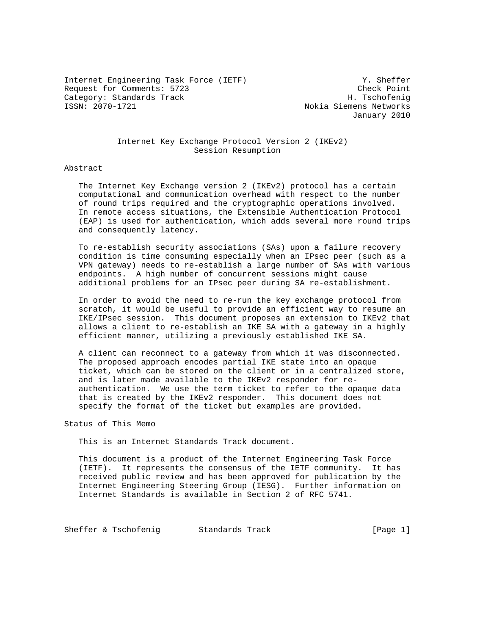Internet Engineering Task Force (IETF) Y. Sheffer Request for Comments: 5723 Check Point Category: Standards Track H. Tschofenig<br>
ISSN: 2070-1721 Mokia Siemens Networks

Nokia Siemens Networks January 2010

## Internet Key Exchange Protocol Version 2 (IKEv2) Session Resumption

#### Abstract

 The Internet Key Exchange version 2 (IKEv2) protocol has a certain computational and communication overhead with respect to the number of round trips required and the cryptographic operations involved. In remote access situations, the Extensible Authentication Protocol (EAP) is used for authentication, which adds several more round trips and consequently latency.

 To re-establish security associations (SAs) upon a failure recovery condition is time consuming especially when an IPsec peer (such as a VPN gateway) needs to re-establish a large number of SAs with various endpoints. A high number of concurrent sessions might cause additional problems for an IPsec peer during SA re-establishment.

 In order to avoid the need to re-run the key exchange protocol from scratch, it would be useful to provide an efficient way to resume an IKE/IPsec session. This document proposes an extension to IKEv2 that allows a client to re-establish an IKE SA with a gateway in a highly efficient manner, utilizing a previously established IKE SA.

 A client can reconnect to a gateway from which it was disconnected. The proposed approach encodes partial IKE state into an opaque ticket, which can be stored on the client or in a centralized store, and is later made available to the IKEv2 responder for re authentication. We use the term ticket to refer to the opaque data that is created by the IKEv2 responder. This document does not specify the format of the ticket but examples are provided.

Status of This Memo

This is an Internet Standards Track document.

 This document is a product of the Internet Engineering Task Force (IETF). It represents the consensus of the IETF community. It has received public review and has been approved for publication by the Internet Engineering Steering Group (IESG). Further information on Internet Standards is available in Section 2 of RFC 5741.

Sheffer & Tschofenig Standards Track [Page 1]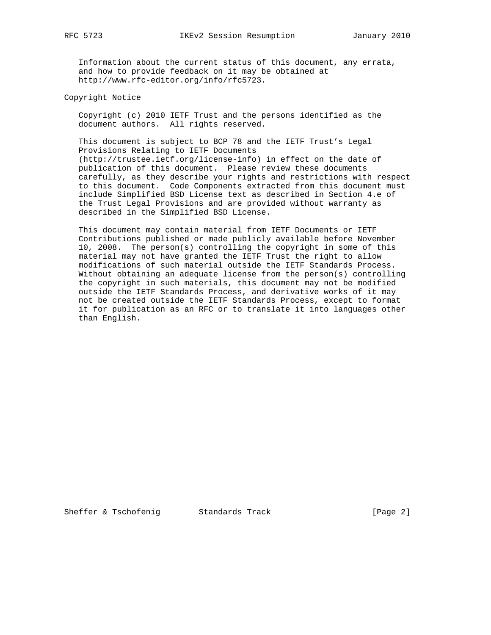Information about the current status of this document, any errata, and how to provide feedback on it may be obtained at http://www.rfc-editor.org/info/rfc5723.

Copyright Notice

 Copyright (c) 2010 IETF Trust and the persons identified as the document authors. All rights reserved.

 This document is subject to BCP 78 and the IETF Trust's Legal Provisions Relating to IETF Documents (http://trustee.ietf.org/license-info) in effect on the date of publication of this document. Please review these documents carefully, as they describe your rights and restrictions with respect to this document. Code Components extracted from this document must include Simplified BSD License text as described in Section 4.e of the Trust Legal Provisions and are provided without warranty as described in the Simplified BSD License.

 This document may contain material from IETF Documents or IETF Contributions published or made publicly available before November 10, 2008. The person(s) controlling the copyright in some of this material may not have granted the IETF Trust the right to allow modifications of such material outside the IETF Standards Process. Without obtaining an adequate license from the person(s) controlling the copyright in such materials, this document may not be modified outside the IETF Standards Process, and derivative works of it may not be created outside the IETF Standards Process, except to format it for publication as an RFC or to translate it into languages other than English.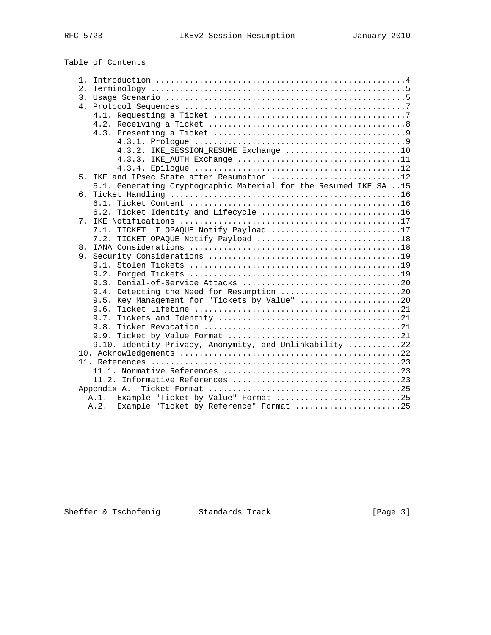Table of Contents

|                                  | 4.3.2. IKE_SESSION_RESUME Exchange 10                            |
|----------------------------------|------------------------------------------------------------------|
|                                  |                                                                  |
|                                  |                                                                  |
|                                  | 5. IKE and IPsec State after Resumption 12                       |
|                                  | 5.1. Generating Cryptographic Material for the Resumed IKE SA 15 |
|                                  |                                                                  |
|                                  |                                                                  |
|                                  | 6.2. Ticket Identity and Lifecycle 16                            |
| $7_{\scriptscriptstyle{\ddots}}$ |                                                                  |
|                                  | 7.1. TICKET_LT_OPAQUE Notify Payload 17                          |
|                                  |                                                                  |
| 8.                               |                                                                  |
|                                  |                                                                  |
|                                  |                                                                  |
|                                  |                                                                  |
|                                  |                                                                  |
|                                  | 9.4. Detecting the Need for Resumption 20                        |
|                                  | 9.5. Key Management for "Tickets by Value" 20                    |
|                                  |                                                                  |
|                                  |                                                                  |
|                                  |                                                                  |
|                                  |                                                                  |
|                                  | 9.10. Identity Privacy, Anonymity, and Unlinkability 22          |
|                                  |                                                                  |
|                                  |                                                                  |
|                                  |                                                                  |
|                                  |                                                                  |
|                                  |                                                                  |
|                                  | A.1. Example "Ticket by Value" Format 25                         |
|                                  | A.2. Example "Ticket by Reference" Format 25                     |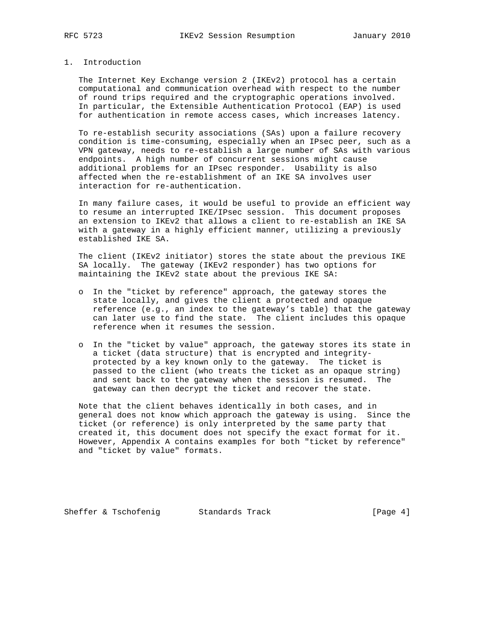## 1. Introduction

 The Internet Key Exchange version 2 (IKEv2) protocol has a certain computational and communication overhead with respect to the number of round trips required and the cryptographic operations involved. In particular, the Extensible Authentication Protocol (EAP) is used for authentication in remote access cases, which increases latency.

 To re-establish security associations (SAs) upon a failure recovery condition is time-consuming, especially when an IPsec peer, such as a VPN gateway, needs to re-establish a large number of SAs with various endpoints. A high number of concurrent sessions might cause additional problems for an IPsec responder. Usability is also affected when the re-establishment of an IKE SA involves user interaction for re-authentication.

 In many failure cases, it would be useful to provide an efficient way to resume an interrupted IKE/IPsec session. This document proposes an extension to IKEv2 that allows a client to re-establish an IKE SA with a gateway in a highly efficient manner, utilizing a previously established IKE SA.

 The client (IKEv2 initiator) stores the state about the previous IKE SA locally. The gateway (IKEv2 responder) has two options for maintaining the IKEv2 state about the previous IKE SA:

- o In the "ticket by reference" approach, the gateway stores the state locally, and gives the client a protected and opaque reference (e.g., an index to the gateway's table) that the gateway can later use to find the state. The client includes this opaque reference when it resumes the session.
- o In the "ticket by value" approach, the gateway stores its state in a ticket (data structure) that is encrypted and integrity protected by a key known only to the gateway. The ticket is passed to the client (who treats the ticket as an opaque string) and sent back to the gateway when the session is resumed. The gateway can then decrypt the ticket and recover the state.

 Note that the client behaves identically in both cases, and in general does not know which approach the gateway is using. Since the ticket (or reference) is only interpreted by the same party that created it, this document does not specify the exact format for it. However, Appendix A contains examples for both "ticket by reference" and "ticket by value" formats.

Sheffer & Tschofenig Standards Track [Page 4]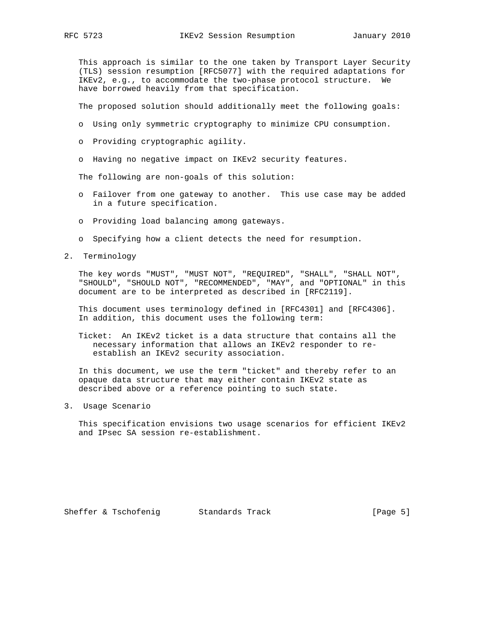This approach is similar to the one taken by Transport Layer Security (TLS) session resumption [RFC5077] with the required adaptations for IKEv2, e.g., to accommodate the two-phase protocol structure. We have borrowed heavily from that specification.

The proposed solution should additionally meet the following goals:

- o Using only symmetric cryptography to minimize CPU consumption.
- o Providing cryptographic agility.
- o Having no negative impact on IKEv2 security features.

The following are non-goals of this solution:

- o Failover from one gateway to another. This use case may be added in a future specification.
- o Providing load balancing among gateways.
- o Specifying how a client detects the need for resumption.
- 2. Terminology

 The key words "MUST", "MUST NOT", "REQUIRED", "SHALL", "SHALL NOT", "SHOULD", "SHOULD NOT", "RECOMMENDED", "MAY", and "OPTIONAL" in this document are to be interpreted as described in [RFC2119].

 This document uses terminology defined in [RFC4301] and [RFC4306]. In addition, this document uses the following term:

 Ticket: An IKEv2 ticket is a data structure that contains all the necessary information that allows an IKEv2 responder to re establish an IKEv2 security association.

 In this document, we use the term "ticket" and thereby refer to an opaque data structure that may either contain IKEv2 state as described above or a reference pointing to such state.

3. Usage Scenario

 This specification envisions two usage scenarios for efficient IKEv2 and IPsec SA session re-establishment.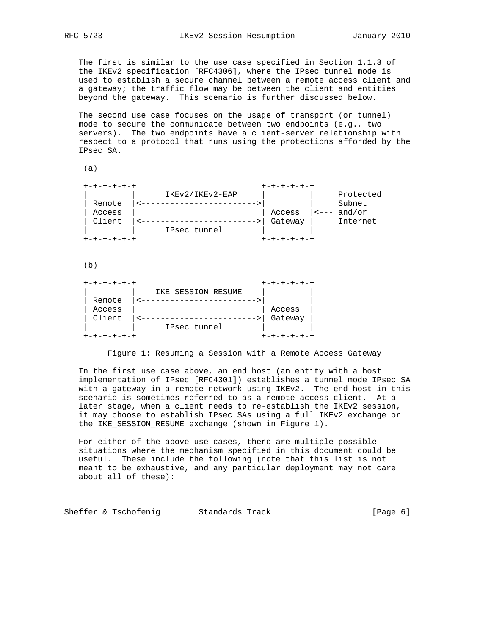The first is similar to the use case specified in Section 1.1.3 of the IKEv2 specification [RFC4306], where the IPsec tunnel mode is used to establish a secure channel between a remote access client and a gateway; the traffic flow may be between the client and entities beyond the gateway. This scenario is further discussed below.

 The second use case focuses on the usage of transport (or tunnel) mode to secure the communicate between two endpoints (e.g., two servers). The two endpoints have a client-server relationship with respect to a protocol that runs using the protections afforded by the IPsec SA.

(a)

|        | IKEv2/IKEv2-EAP |         |  | Protected                                         |
|--------|-----------------|---------|--|---------------------------------------------------|
| Remote |                 |         |  | Subnet                                            |
| Access |                 | Access  |  | $\left  \left. \text{---} \right. \right.$ and/or |
| Client |                 | Gateway |  | Internet                                          |
|        | IPsec tunnel    |         |  |                                                   |
|        |                 |         |  |                                                   |

 $(b)$ 

| +-+-+-+-+-+ |                    | +-+-+-+- |
|-------------|--------------------|----------|
|             | IKE SESSION RESUME |          |
| Remote      |                    |          |
| Access      |                    | Access   |
| Client      |                    | Gateway  |
|             | IPsec tunnel       |          |
|             |                    |          |

Figure 1: Resuming a Session with a Remote Access Gateway

 In the first use case above, an end host (an entity with a host implementation of IPsec [RFC4301]) establishes a tunnel mode IPsec SA with a gateway in a remote network using IKEv2. The end host in this scenario is sometimes referred to as a remote access client. At a later stage, when a client needs to re-establish the IKEv2 session, it may choose to establish IPsec SAs using a full IKEv2 exchange or the IKE\_SESSION\_RESUME exchange (shown in Figure 1).

 For either of the above use cases, there are multiple possible situations where the mechanism specified in this document could be useful. These include the following (note that this list is not meant to be exhaustive, and any particular deployment may not care about all of these):

Sheffer & Tschofenig Standards Track [Page 6]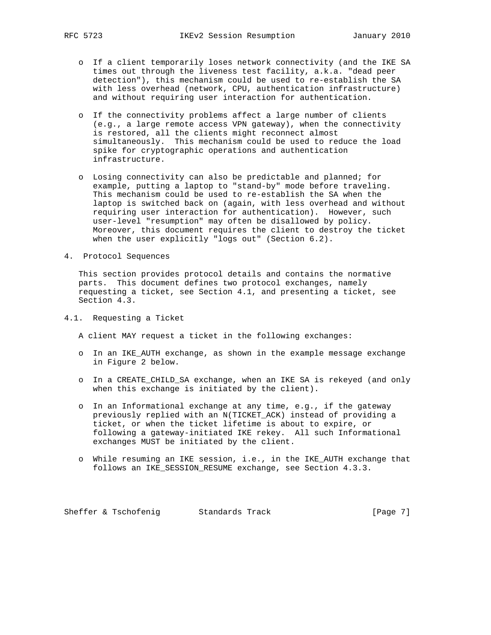- o If a client temporarily loses network connectivity (and the IKE SA times out through the liveness test facility, a.k.a. "dead peer detection"), this mechanism could be used to re-establish the SA with less overhead (network, CPU, authentication infrastructure) and without requiring user interaction for authentication.
- o If the connectivity problems affect a large number of clients (e.g., a large remote access VPN gateway), when the connectivity is restored, all the clients might reconnect almost simultaneously. This mechanism could be used to reduce the load spike for cryptographic operations and authentication infrastructure.
- o Losing connectivity can also be predictable and planned; for example, putting a laptop to "stand-by" mode before traveling. This mechanism could be used to re-establish the SA when the laptop is switched back on (again, with less overhead and without requiring user interaction for authentication). However, such user-level "resumption" may often be disallowed by policy. Moreover, this document requires the client to destroy the ticket when the user explicitly "logs out" (Section 6.2).
- 4. Protocol Sequences

 This section provides protocol details and contains the normative parts. This document defines two protocol exchanges, namely requesting a ticket, see Section 4.1, and presenting a ticket, see Section 4.3.

4.1. Requesting a Ticket

A client MAY request a ticket in the following exchanges:

- o In an IKE\_AUTH exchange, as shown in the example message exchange in Figure 2 below.
- o In a CREATE\_CHILD\_SA exchange, when an IKE SA is rekeyed (and only when this exchange is initiated by the client).
- o In an Informational exchange at any time, e.g., if the gateway previously replied with an N(TICKET\_ACK) instead of providing a ticket, or when the ticket lifetime is about to expire, or following a gateway-initiated IKE rekey. All such Informational exchanges MUST be initiated by the client.
- o While resuming an IKE session, i.e., in the IKE\_AUTH exchange that follows an IKE\_SESSION\_RESUME exchange, see Section 4.3.3.

Sheffer & Tschofenig Standards Track [Page 7]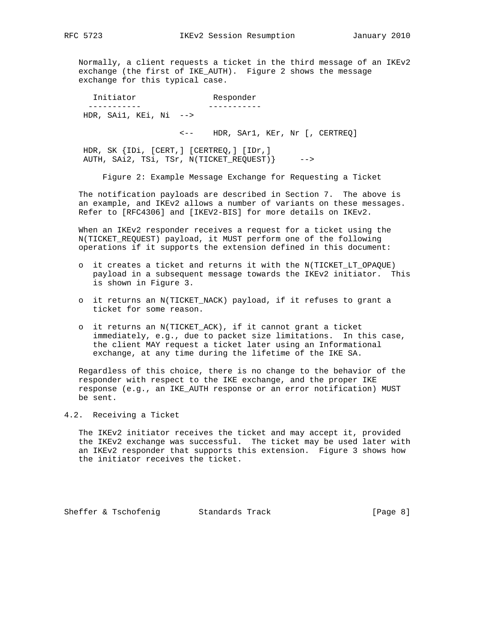Normally, a client requests a ticket in the third message of an IKEv2 exchange (the first of IKE\_AUTH). Figure 2 shows the message exchange for this typical case.

 Initiator Responder ----------- ----------- HDR, SAi1, KEi, Ni -->

<-- HDR, SAr1, KEr, Nr [, CERTREQ]

 HDR, SK {IDi, [CERT,] [CERTREQ,] [IDr,] AUTH, SAi2, TSi, TSr, N(TICKET\_REQUEST)} -->

Figure 2: Example Message Exchange for Requesting a Ticket

 The notification payloads are described in Section 7. The above is an example, and IKEv2 allows a number of variants on these messages. Refer to [RFC4306] and [IKEV2-BIS] for more details on IKEv2.

 When an IKEv2 responder receives a request for a ticket using the N(TICKET\_REQUEST) payload, it MUST perform one of the following operations if it supports the extension defined in this document:

- o it creates a ticket and returns it with the N(TICKET\_LT\_OPAQUE) payload in a subsequent message towards the IKEv2 initiator. This is shown in Figure 3.
- o it returns an N(TICKET NACK) payload, if it refuses to grant a ticket for some reason.
- o it returns an N(TICKET\_ACK), if it cannot grant a ticket immediately, e.g., due to packet size limitations. In this case, the client MAY request a ticket later using an Informational exchange, at any time during the lifetime of the IKE SA.

 Regardless of this choice, there is no change to the behavior of the responder with respect to the IKE exchange, and the proper IKE response (e.g., an IKE\_AUTH response or an error notification) MUST be sent.

### 4.2. Receiving a Ticket

 The IKEv2 initiator receives the ticket and may accept it, provided the IKEv2 exchange was successful. The ticket may be used later with an IKEv2 responder that supports this extension. Figure 3 shows how the initiator receives the ticket.

Sheffer & Tschofenig Standards Track (Page 8)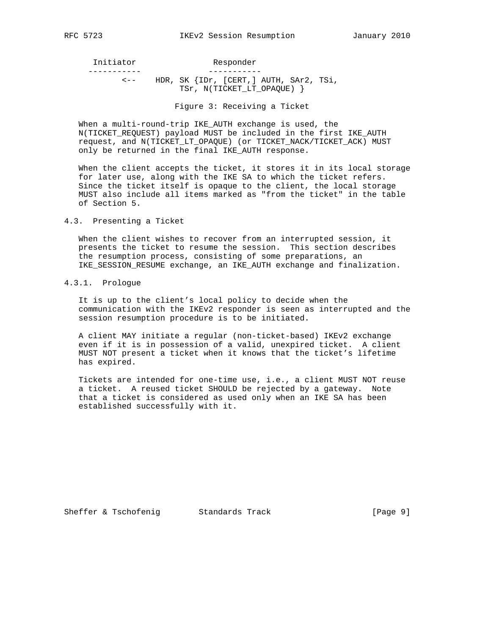Initiator Responder ----------- -----------

 <-- HDR, SK {IDr, [CERT,] AUTH, SAr2, TSi, TSr, N(TICKET\_LT\_OPAQUE) }

Figure 3: Receiving a Ticket

 When a multi-round-trip IKE\_AUTH exchange is used, the N(TICKET\_REQUEST) payload MUST be included in the first IKE\_AUTH request, and N(TICKET\_LT\_OPAQUE) (or TICKET\_NACK/TICKET\_ACK) MUST only be returned in the final IKE\_AUTH response.

 When the client accepts the ticket, it stores it in its local storage for later use, along with the IKE SA to which the ticket refers. Since the ticket itself is opaque to the client, the local storage MUST also include all items marked as "from the ticket" in the table of Section 5.

#### 4.3. Presenting a Ticket

 When the client wishes to recover from an interrupted session, it presents the ticket to resume the session. This section describes the resumption process, consisting of some preparations, an IKE\_SESSION\_RESUME exchange, an IKE\_AUTH exchange and finalization.

## 4.3.1. Prologue

 It is up to the client's local policy to decide when the communication with the IKEv2 responder is seen as interrupted and the session resumption procedure is to be initiated.

 A client MAY initiate a regular (non-ticket-based) IKEv2 exchange even if it is in possession of a valid, unexpired ticket. A client MUST NOT present a ticket when it knows that the ticket's lifetime has expired.

 Tickets are intended for one-time use, i.e., a client MUST NOT reuse a ticket. A reused ticket SHOULD be rejected by a gateway. Note that a ticket is considered as used only when an IKE SA has been established successfully with it.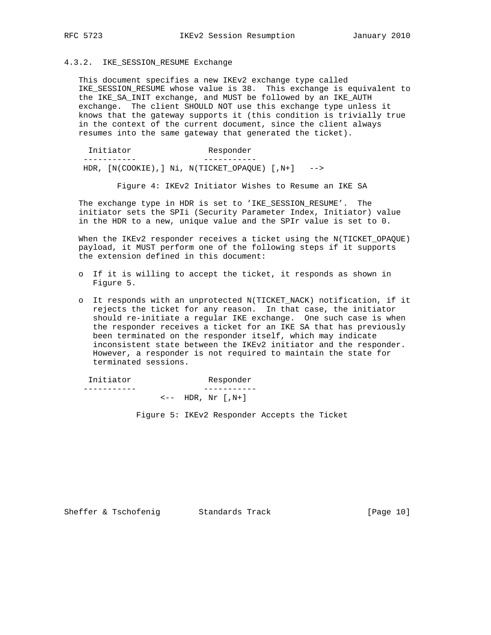### 4.3.2. IKE\_SESSION\_RESUME Exchange

 This document specifies a new IKEv2 exchange type called IKE\_SESSION\_RESUME whose value is 38. This exchange is equivalent to the IKE\_SA\_INIT exchange, and MUST be followed by an IKE\_AUTH exchange. The client SHOULD NOT use this exchange type unless it knows that the gateway supports it (this condition is trivially true in the context of the current document, since the client always resumes into the same gateway that generated the ticket).

 Initiator Responder ----------- ----------- HDR, [N(COOKIE),] Ni, N(TICKET\_OPAQUE) [,N+] -->

Figure 4: IKEv2 Initiator Wishes to Resume an IKE SA

 The exchange type in HDR is set to 'IKE\_SESSION\_RESUME'. The initiator sets the SPIi (Security Parameter Index, Initiator) value in the HDR to a new, unique value and the SPIr value is set to 0.

 When the IKEv2 responder receives a ticket using the N(TICKET\_OPAQUE) payload, it MUST perform one of the following steps if it supports the extension defined in this document:

- o If it is willing to accept the ticket, it responds as shown in Figure 5.
- o It responds with an unprotected N(TICKET\_NACK) notification, if it rejects the ticket for any reason. In that case, the initiator should re-initiate a regular IKE exchange. One such case is when the responder receives a ticket for an IKE SA that has previously been terminated on the responder itself, which may indicate inconsistent state between the IKEv2 initiator and the responder. However, a responder is not required to maintain the state for terminated sessions.

 Initiator Responder ----------- -----------  $\leftarrow -$  HDR, Nr  $[N+]$ 

Figure 5: IKEv2 Responder Accepts the Ticket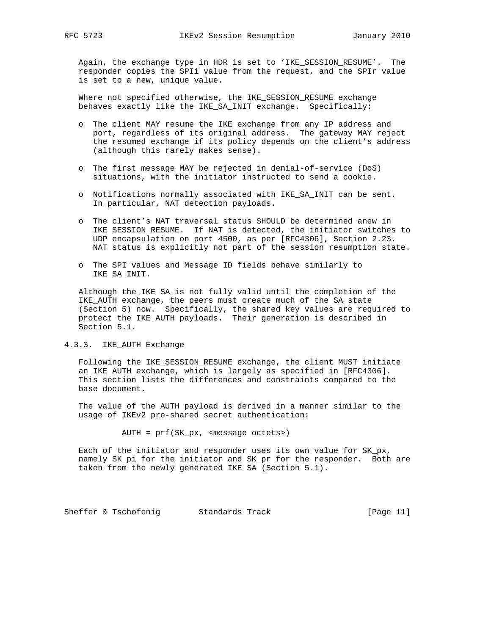Again, the exchange type in HDR is set to 'IKE\_SESSION\_RESUME'. The responder copies the SPIi value from the request, and the SPIr value is set to a new, unique value.

 Where not specified otherwise, the IKE\_SESSION\_RESUME exchange behaves exactly like the IKE\_SA\_INIT exchange. Specifically:

- o The client MAY resume the IKE exchange from any IP address and port, regardless of its original address. The gateway MAY reject the resumed exchange if its policy depends on the client's address (although this rarely makes sense).
- o The first message MAY be rejected in denial-of-service (DoS) situations, with the initiator instructed to send a cookie.
- o Notifications normally associated with IKE\_SA\_INIT can be sent. In particular, NAT detection payloads.
- o The client's NAT traversal status SHOULD be determined anew in IKE\_SESSION\_RESUME. If NAT is detected, the initiator switches to UDP encapsulation on port 4500, as per [RFC4306], Section 2.23. NAT status is explicitly not part of the session resumption state.
- o The SPI values and Message ID fields behave similarly to IKE\_SA\_INIT.

 Although the IKE SA is not fully valid until the completion of the IKE\_AUTH exchange, the peers must create much of the SA state (Section 5) now. Specifically, the shared key values are required to protect the IKE\_AUTH payloads. Their generation is described in Section 5.1.

4.3.3. IKE\_AUTH Exchange

 Following the IKE\_SESSION\_RESUME exchange, the client MUST initiate an IKE\_AUTH exchange, which is largely as specified in [RFC4306]. This section lists the differences and constraints compared to the base document.

 The value of the AUTH payload is derived in a manner similar to the usage of IKEv2 pre-shared secret authentication:

AUTH = prf(SK\_px, <message octets>)

 Each of the initiator and responder uses its own value for SK\_px, namely SK\_pi for the initiator and SK\_pr for the responder. Both are taken from the newly generated IKE SA (Section 5.1).

Sheffer & Tschofenig Standards Track [Page 11]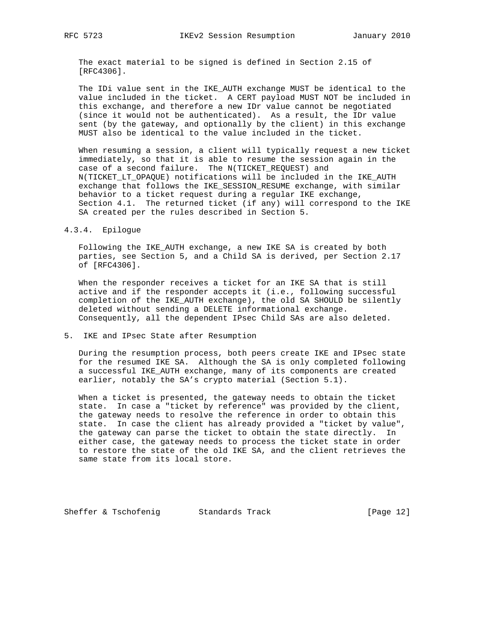The exact material to be signed is defined in Section 2.15 of [RFC4306].

The IDi value sent in the IKE AUTH exchange MUST be identical to the value included in the ticket. A CERT payload MUST NOT be included in this exchange, and therefore a new IDr value cannot be negotiated (since it would not be authenticated). As a result, the IDr value sent (by the gateway, and optionally by the client) in this exchange MUST also be identical to the value included in the ticket.

 When resuming a session, a client will typically request a new ticket immediately, so that it is able to resume the session again in the case of a second failure. The N(TICKET\_REQUEST) and N(TICKET\_LT\_OPAQUE) notifications will be included in the IKE\_AUTH exchange that follows the IKE\_SESSION\_RESUME exchange, with similar behavior to a ticket request during a regular IKE exchange, Section 4.1. The returned ticket (if any) will correspond to the IKE SA created per the rules described in Section 5.

4.3.4. Epilogue

 Following the IKE\_AUTH exchange, a new IKE SA is created by both parties, see Section 5, and a Child SA is derived, per Section 2.17 of [RFC4306].

 When the responder receives a ticket for an IKE SA that is still active and if the responder accepts it (i.e., following successful completion of the IKE\_AUTH exchange), the old SA SHOULD be silently deleted without sending a DELETE informational exchange. Consequently, all the dependent IPsec Child SAs are also deleted.

5. IKE and IPsec State after Resumption

 During the resumption process, both peers create IKE and IPsec state for the resumed IKE SA. Although the SA is only completed following a successful IKE\_AUTH exchange, many of its components are created earlier, notably the SA's crypto material (Section 5.1).

 When a ticket is presented, the gateway needs to obtain the ticket state. In case a "ticket by reference" was provided by the client, the gateway needs to resolve the reference in order to obtain this state. In case the client has already provided a "ticket by value", the gateway can parse the ticket to obtain the state directly. In either case, the gateway needs to process the ticket state in order to restore the state of the old IKE SA, and the client retrieves the same state from its local store.

Sheffer & Tschofenig Standards Track [Page 12]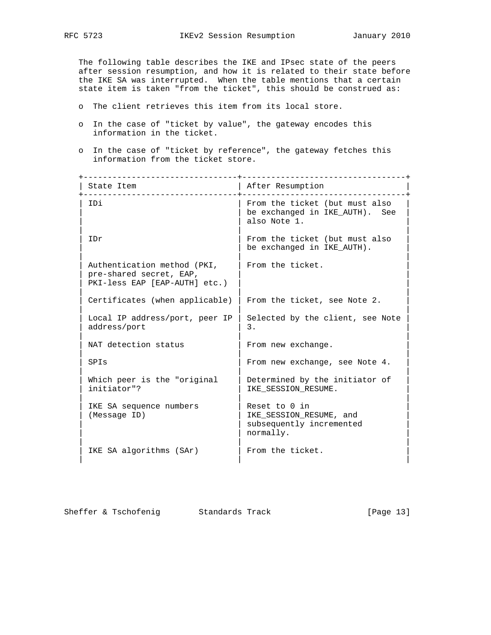The following table describes the IKE and IPsec state of the peers after session resumption, and how it is related to their state before the IKE SA was interrupted. When the table mentions that a certain state item is taken "from the ticket", this should be construed as:

- o The client retrieves this item from its local store.
- o In the case of "ticket by value", the gateway encodes this information in the ticket.
- o In the case of "ticket by reference", the gateway fetches this information from the ticket store.

 +--------------------------------+----------------------------------+ | State Item | After Resumption +--------------------------------+----------------------------------+ | IDi | From the ticket (but must also | | be exchanged in IKE\_AUTH). See | also Note 1. | | | IDr  $|$  From the ticket (but must also | be exchanged in IKE AUTH). | | | Authentication method (PKI, | From the ticket. pre-shared secret, EAP, PKI-less EAP [EAP-AUTH] etc.) | | | Certificates (when applicable) | From the ticket, see Note 2. | | | Local IP address/port, peer IP | Selected by the client, see Note address/port | 3. | | | NAT detection status | From new exchange. | | | | SPIs | From new exchange, see Note 4. | | | | Which peer is the "original  $|$  Determined by the initiator of  $\left| \text{IKE}_\text{SESSION\_RESUME}. \right|$  | | | IKE SA sequence numbers | Reset to 0 in (Message ID) | IKE\_SESSION\_RESUME, and subsequently incremented | normally. | | | IKE SA algorithms (SAr) | From the ticket. | | |

Sheffer & Tschofenig Standards Track [Page 13]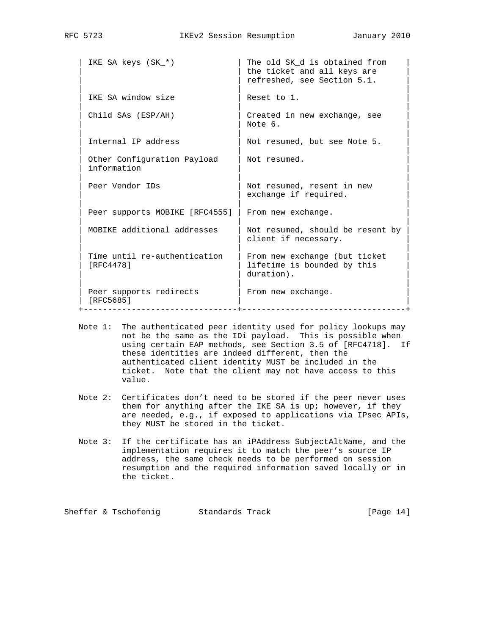| IKE SA keys (SK *)                         | The old SK d is obtained from<br>the ticket and all keys are<br>refreshed, see Section 5.1. |
|--------------------------------------------|---------------------------------------------------------------------------------------------|
| IKE SA window size                         | Reset to 1.                                                                                 |
| Child SAs (ESP/AH)                         | Created in new exchange, see<br>Note 6.                                                     |
| Internal IP address                        | Not resumed, but see Note 5.                                                                |
| Other Configuration Payload<br>information | Not resumed.                                                                                |
| Peer Vendor IDs                            | Not resumed, resent in new<br>exchange if required.                                         |
| Peer supports MOBIKE [RFC4555]             | From new exchange.                                                                          |
| MOBIKE additional addresses                | Not resumed, should be resent by<br>client if necessary.                                    |
| Time until re-authentication<br>[RFC4478]  | From new exchange (but ticket<br>lifetime is bounded by this<br>duration).                  |
| Peer supports redirects<br>[RFC5685]       | From new exchange.                                                                          |

- Note 1: The authenticated peer identity used for policy lookups may not be the same as the IDi payload. This is possible when using certain EAP methods, see Section 3.5 of [RFC4718]. If these identities are indeed different, then the authenticated client identity MUST be included in the ticket. Note that the client may not have access to this value.
- Note 2: Certificates don't need to be stored if the peer never uses them for anything after the IKE SA is up; however, if they are needed, e.g., if exposed to applications via IPsec APIs, they MUST be stored in the ticket.
- Note 3: If the certificate has an iPAddress SubjectAltName, and the implementation requires it to match the peer's source IP address, the same check needs to be performed on session resumption and the required information saved locally or in the ticket.

Sheffer & Tschofenig Standards Track [Page 14]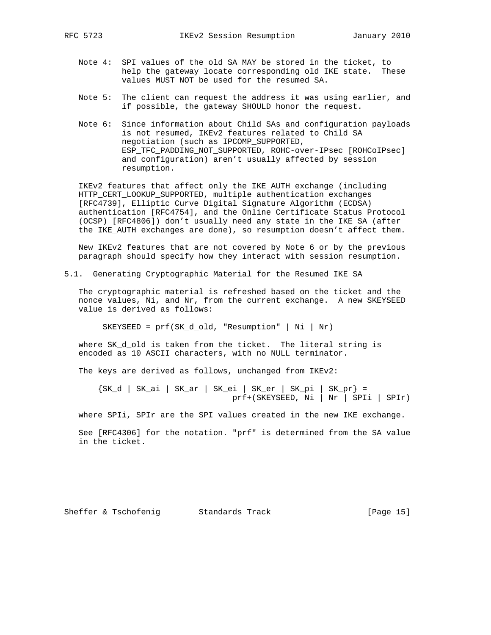- Note 4: SPI values of the old SA MAY be stored in the ticket, to help the gateway locate corresponding old IKE state. These values MUST NOT be used for the resumed SA.
- Note 5: The client can request the address it was using earlier, and if possible, the gateway SHOULD honor the request.
- Note 6: Since information about Child SAs and configuration payloads is not resumed, IKEv2 features related to Child SA negotiation (such as IPCOMP\_SUPPORTED, ESP\_TFC\_PADDING\_NOT\_SUPPORTED, ROHC-over-IPsec [ROHCoIPsec] and configuration) aren't usually affected by session resumption.

 IKEv2 features that affect only the IKE\_AUTH exchange (including HTTP\_CERT\_LOOKUP\_SUPPORTED, multiple authentication exchanges [RFC4739], Elliptic Curve Digital Signature Algorithm (ECDSA) authentication [RFC4754], and the Online Certificate Status Protocol (OCSP) [RFC4806]) don't usually need any state in the IKE SA (after the IKE\_AUTH exchanges are done), so resumption doesn't affect them.

 New IKEv2 features that are not covered by Note 6 or by the previous paragraph should specify how they interact with session resumption.

5.1. Generating Cryptographic Material for the Resumed IKE SA

 The cryptographic material is refreshed based on the ticket and the nonce values, Ni, and Nr, from the current exchange. A new SKEYSEED value is derived as follows:

SKEYSEED = prf(SK\_d\_old, "Resumption" | Ni | Nr)

where SK\_d\_old is taken from the ticket. The literal string is encoded as 10 ASCII characters, with no NULL terminator.

The keys are derived as follows, unchanged from IKEv2:

 {SK\_d | SK\_ai | SK\_ar | SK\_ei | SK\_er | SK\_pi | SK\_pr} = prf+(SKEYSEED, Ni | Nr | SPIi | SPIr)

where SPIi, SPIr are the SPI values created in the new IKE exchange.

 See [RFC4306] for the notation. "prf" is determined from the SA value in the ticket.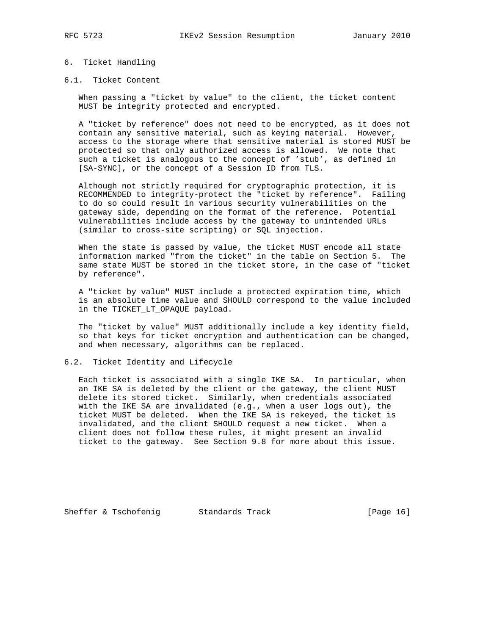## 6. Ticket Handling

#### 6.1. Ticket Content

 When passing a "ticket by value" to the client, the ticket content MUST be integrity protected and encrypted.

 A "ticket by reference" does not need to be encrypted, as it does not contain any sensitive material, such as keying material. However, access to the storage where that sensitive material is stored MUST be protected so that only authorized access is allowed. We note that such a ticket is analogous to the concept of 'stub', as defined in [SA-SYNC], or the concept of a Session ID from TLS.

 Although not strictly required for cryptographic protection, it is RECOMMENDED to integrity-protect the "ticket by reference". Failing to do so could result in various security vulnerabilities on the gateway side, depending on the format of the reference. Potential vulnerabilities include access by the gateway to unintended URLs (similar to cross-site scripting) or SQL injection.

 When the state is passed by value, the ticket MUST encode all state information marked "from the ticket" in the table on Section 5. The same state MUST be stored in the ticket store, in the case of "ticket by reference".

 A "ticket by value" MUST include a protected expiration time, which is an absolute time value and SHOULD correspond to the value included in the TICKET\_LT\_OPAQUE payload.

 The "ticket by value" MUST additionally include a key identity field, so that keys for ticket encryption and authentication can be changed, and when necessary, algorithms can be replaced.

#### 6.2. Ticket Identity and Lifecycle

 Each ticket is associated with a single IKE SA. In particular, when an IKE SA is deleted by the client or the gateway, the client MUST delete its stored ticket. Similarly, when credentials associated with the IKE SA are invalidated (e.g., when a user logs out), the ticket MUST be deleted. When the IKE SA is rekeyed, the ticket is invalidated, and the client SHOULD request a new ticket. When a client does not follow these rules, it might present an invalid ticket to the gateway. See Section 9.8 for more about this issue.

Sheffer & Tschofenig Standards Track [Page 16]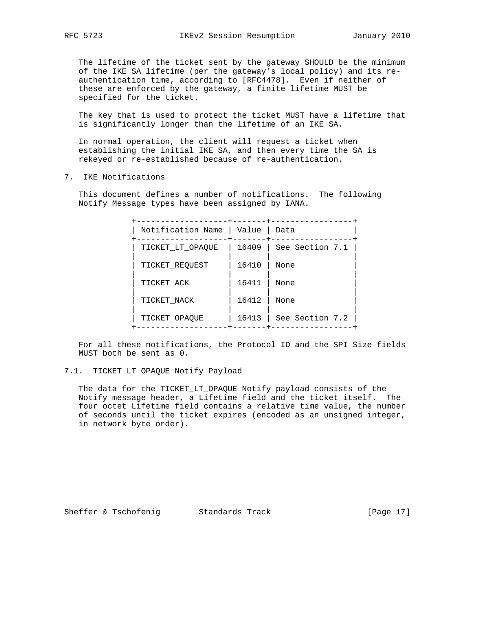The lifetime of the ticket sent by the gateway SHOULD be the minimum of the IKE SA lifetime (per the gateway's local policy) and its re authentication time, according to [RFC4478]. Even if neither of these are enforced by the gateway, a finite lifetime MUST be specified for the ticket.

 The key that is used to protect the ticket MUST have a lifetime that is significantly longer than the lifetime of an IKE SA.

 In normal operation, the client will request a ticket when establishing the initial IKE SA, and then every time the SA is rekeyed or re-established because of re-authentication.

7. IKE Notifications

 This document defines a number of notifications. The following Notify Message types have been assigned by IANA.

 +-------------------+-------+-----------------+ | Notification Name | Value | Data +-------------------+-------+-----------------+ | TICKET\_LT\_OPAQUE | 16409 | See Section 7.1 | | | | |  $|$  TICKET\_REQUEST  $|$  16410  $|$  None | | | | | TICKET\_ACK | 16411 | None | | | | | | TICKET\_NACK | 16412 | None | | | | | | TICKET\_OPAQUE | 16413 | See Section 7.2 | +-------------------+-------+-----------------+

 For all these notifications, the Protocol ID and the SPI Size fields MUST both be sent as 0.

7.1. TICKET\_LT\_OPAQUE Notify Payload

 The data for the TICKET\_LT\_OPAQUE Notify payload consists of the Notify message header, a Lifetime field and the ticket itself. The four octet Lifetime field contains a relative time value, the number of seconds until the ticket expires (encoded as an unsigned integer, in network byte order).

Sheffer & Tschofenig Standards Track [Page 17]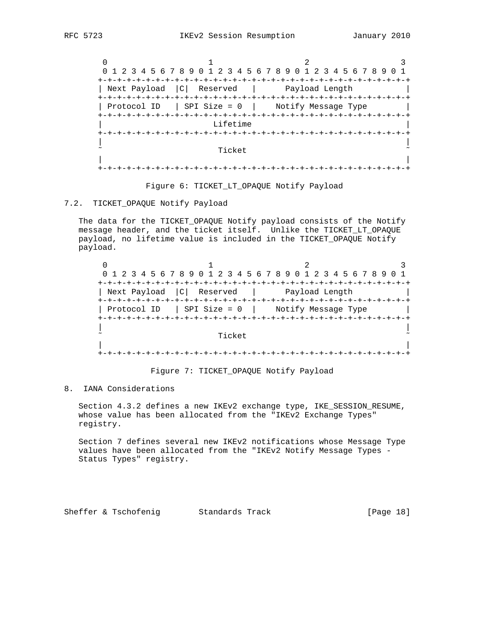0  $1$  2 3 0 1 2 3 4 5 6 7 8 9 0 1 2 3 4 5 6 7 8 9 0 1 2 3 4 5 6 7 8 9 0 1 +-+-+-+-+-+-+-+-+-+-+-+-+-+-+-+-+-+-+-+-+-+-+-+-+-+-+-+-+-+-+-+-+ | Next Payload | C | Reserved | Payload Length +-+-+-+-+-+-+-+-+-+-+-+-+-+-+-+-+-+-+-+-+-+-+-+-+-+-+-+-+-+-+-+-+ | Protocol ID | SPI Size = 0 | Notify Message Type +-+-+-+-+-+-+-+-+-+-+-+-+-+-+-+-+-+-+-+-+-+-+-+-+-+-+-+-+-+-+-+-+ Lifetime +-+-+-+-+-+-+-+-+-+-+-+-+-+-+-+-+-+-+-+-+-+-+-+-+-+-+-+-+-+-+-+-+ | | ˜ Ticket ˜ | | +-+-+-+-+-+-+-+-+-+-+-+-+-+-+-+-+-+-+-+-+-+-+-+-+-+-+-+-+-+-+-+-+

#### Figure 6: TICKET\_LT\_OPAQUE Notify Payload

## 7.2. TICKET\_OPAQUE Notify Payload

 The data for the TICKET\_OPAQUE Notify payload consists of the Notify message header, and the ticket itself. Unlike the TICKET\_LT\_OPAQUE payload, no lifetime value is included in the TICKET\_OPAQUE Notify payload.

|              |        | 0 1 2 3 4 5 6 7 8 9 0 1 2 3 4 5 6 7 8 9 0 1 2 3 4 5 6 7 8 9 |  |
|--------------|--------|-------------------------------------------------------------|--|
|              |        |                                                             |  |
| Next Payload |        | C  Reserved   Payload Length                                |  |
|              |        |                                                             |  |
|              |        | Protocol ID   SPI Size = $0$   Notify Message Type          |  |
|              |        |                                                             |  |
|              |        |                                                             |  |
|              | Ticket |                                                             |  |
|              |        |                                                             |  |
|              |        |                                                             |  |

## Figure 7: TICKET\_OPAQUE Notify Payload

8. IANA Considerations

 Section 4.3.2 defines a new IKEv2 exchange type, IKE\_SESSION\_RESUME, whose value has been allocated from the "IKEv2 Exchange Types" registry.

 Section 7 defines several new IKEv2 notifications whose Message Type values have been allocated from the "IKEv2 Notify Message Types - Status Types" registry.

Sheffer & Tschofenig Standards Track [Page 18]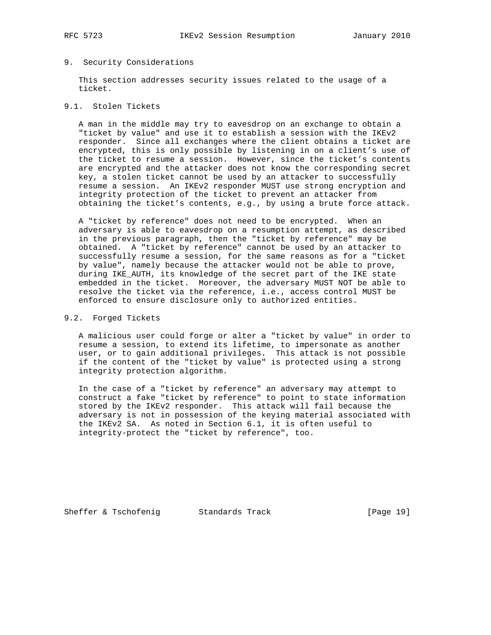### 9. Security Considerations

 This section addresses security issues related to the usage of a ticket.

## 9.1. Stolen Tickets

 A man in the middle may try to eavesdrop on an exchange to obtain a "ticket by value" and use it to establish a session with the IKEv2 responder. Since all exchanges where the client obtains a ticket are encrypted, this is only possible by listening in on a client's use of the ticket to resume a session. However, since the ticket's contents are encrypted and the attacker does not know the corresponding secret key, a stolen ticket cannot be used by an attacker to successfully resume a session. An IKEv2 responder MUST use strong encryption and integrity protection of the ticket to prevent an attacker from obtaining the ticket's contents, e.g., by using a brute force attack.

 A "ticket by reference" does not need to be encrypted. When an adversary is able to eavesdrop on a resumption attempt, as described in the previous paragraph, then the "ticket by reference" may be obtained. A "ticket by reference" cannot be used by an attacker to successfully resume a session, for the same reasons as for a "ticket by value", namely because the attacker would not be able to prove, during IKE\_AUTH, its knowledge of the secret part of the IKE state embedded in the ticket. Moreover, the adversary MUST NOT be able to resolve the ticket via the reference, i.e., access control MUST be enforced to ensure disclosure only to authorized entities.

#### 9.2. Forged Tickets

 A malicious user could forge or alter a "ticket by value" in order to resume a session, to extend its lifetime, to impersonate as another user, or to gain additional privileges. This attack is not possible if the content of the "ticket by value" is protected using a strong integrity protection algorithm.

 In the case of a "ticket by reference" an adversary may attempt to construct a fake "ticket by reference" to point to state information stored by the IKEv2 responder. This attack will fail because the adversary is not in possession of the keying material associated with the IKEv2 SA. As noted in Section 6.1, it is often useful to integrity-protect the "ticket by reference", too.

Sheffer & Tschofenig Standards Track [Page 19]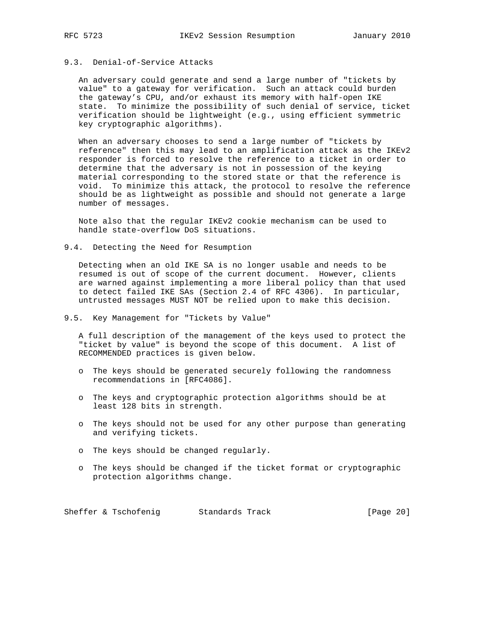## 9.3. Denial-of-Service Attacks

 An adversary could generate and send a large number of "tickets by value" to a gateway for verification. Such an attack could burden the gateway's CPU, and/or exhaust its memory with half-open IKE state. To minimize the possibility of such denial of service, ticket verification should be lightweight (e.g., using efficient symmetric key cryptographic algorithms).

 When an adversary chooses to send a large number of "tickets by reference" then this may lead to an amplification attack as the IKEv2 responder is forced to resolve the reference to a ticket in order to determine that the adversary is not in possession of the keying material corresponding to the stored state or that the reference is void. To minimize this attack, the protocol to resolve the reference should be as lightweight as possible and should not generate a large number of messages.

 Note also that the regular IKEv2 cookie mechanism can be used to handle state-overflow DoS situations.

9.4. Detecting the Need for Resumption

 Detecting when an old IKE SA is no longer usable and needs to be resumed is out of scope of the current document. However, clients are warned against implementing a more liberal policy than that used to detect failed IKE SAs (Section 2.4 of RFC 4306). In particular, untrusted messages MUST NOT be relied upon to make this decision.

9.5. Key Management for "Tickets by Value"

 A full description of the management of the keys used to protect the "ticket by value" is beyond the scope of this document. A list of RECOMMENDED practices is given below.

- o The keys should be generated securely following the randomness recommendations in [RFC4086].
- o The keys and cryptographic protection algorithms should be at least 128 bits in strength.
- o The keys should not be used for any other purpose than generating and verifying tickets.
- o The keys should be changed regularly.
- o The keys should be changed if the ticket format or cryptographic protection algorithms change.

Sheffer & Tschofenig Standards Track [Page 20]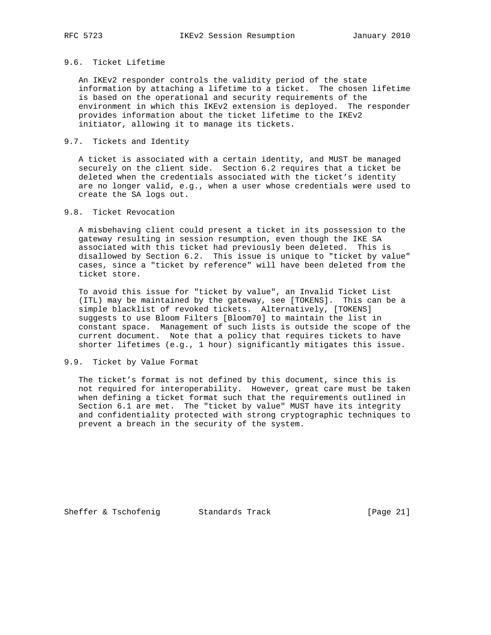## 9.6. Ticket Lifetime

 An IKEv2 responder controls the validity period of the state information by attaching a lifetime to a ticket. The chosen lifetime is based on the operational and security requirements of the environment in which this IKEv2 extension is deployed. The responder provides information about the ticket lifetime to the IKEv2 initiator, allowing it to manage its tickets.

## 9.7. Tickets and Identity

 A ticket is associated with a certain identity, and MUST be managed securely on the client side. Section 6.2 requires that a ticket be deleted when the credentials associated with the ticket's identity are no longer valid, e.g., when a user whose credentials were used to create the SA logs out.

## 9.8. Ticket Revocation

 A misbehaving client could present a ticket in its possession to the gateway resulting in session resumption, even though the IKE SA associated with this ticket had previously been deleted. This is disallowed by Section 6.2. This issue is unique to "ticket by value" cases, since a "ticket by reference" will have been deleted from the ticket store.

 To avoid this issue for "ticket by value", an Invalid Ticket List (ITL) may be maintained by the gateway, see [TOKENS]. This can be a simple blacklist of revoked tickets. Alternatively, [TOKENS] suggests to use Bloom Filters [Bloom70] to maintain the list in constant space. Management of such lists is outside the scope of the current document. Note that a policy that requires tickets to have shorter lifetimes (e.g., 1 hour) significantly mitigates this issue.

# 9.9. Ticket by Value Format

 The ticket's format is not defined by this document, since this is not required for interoperability. However, great care must be taken when defining a ticket format such that the requirements outlined in Section 6.1 are met. The "ticket by value" MUST have its integrity and confidentiality protected with strong cryptographic techniques to prevent a breach in the security of the system.

Sheffer & Tschofenig Standards Track [Page 21]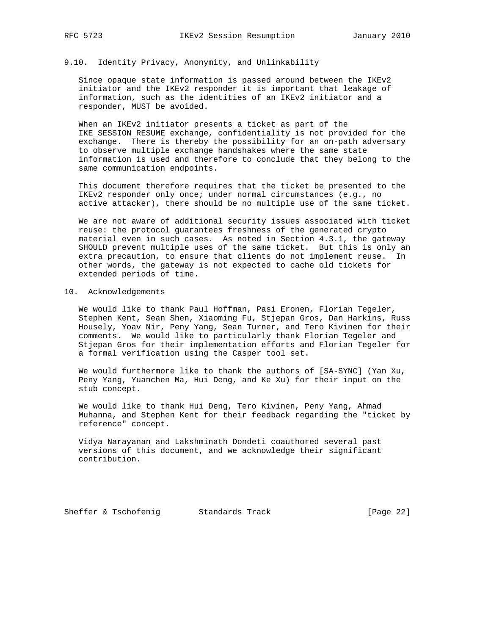### 9.10. Identity Privacy, Anonymity, and Unlinkability

 Since opaque state information is passed around between the IKEv2 initiator and the IKEv2 responder it is important that leakage of information, such as the identities of an IKEv2 initiator and a responder, MUST be avoided.

 When an IKEv2 initiator presents a ticket as part of the IKE\_SESSION\_RESUME exchange, confidentiality is not provided for the exchange. There is thereby the possibility for an on-path adversary to observe multiple exchange handshakes where the same state information is used and therefore to conclude that they belong to the same communication endpoints.

 This document therefore requires that the ticket be presented to the IKEv2 responder only once; under normal circumstances (e.g., no active attacker), there should be no multiple use of the same ticket.

 We are not aware of additional security issues associated with ticket reuse: the protocol guarantees freshness of the generated crypto material even in such cases. As noted in Section 4.3.1, the gateway SHOULD prevent multiple uses of the same ticket. But this is only an extra precaution, to ensure that clients do not implement reuse. In other words, the gateway is not expected to cache old tickets for extended periods of time.

#### 10. Acknowledgements

 We would like to thank Paul Hoffman, Pasi Eronen, Florian Tegeler, Stephen Kent, Sean Shen, Xiaoming Fu, Stjepan Gros, Dan Harkins, Russ Housely, Yoav Nir, Peny Yang, Sean Turner, and Tero Kivinen for their comments. We would like to particularly thank Florian Tegeler and Stjepan Gros for their implementation efforts and Florian Tegeler for a formal verification using the Casper tool set.

 We would furthermore like to thank the authors of [SA-SYNC] (Yan Xu, Peny Yang, Yuanchen Ma, Hui Deng, and Ke Xu) for their input on the stub concept.

 We would like to thank Hui Deng, Tero Kivinen, Peny Yang, Ahmad Muhanna, and Stephen Kent for their feedback regarding the "ticket by reference" concept.

 Vidya Narayanan and Lakshminath Dondeti coauthored several past versions of this document, and we acknowledge their significant contribution.

Sheffer & Tschofenig Standards Track [Page 22]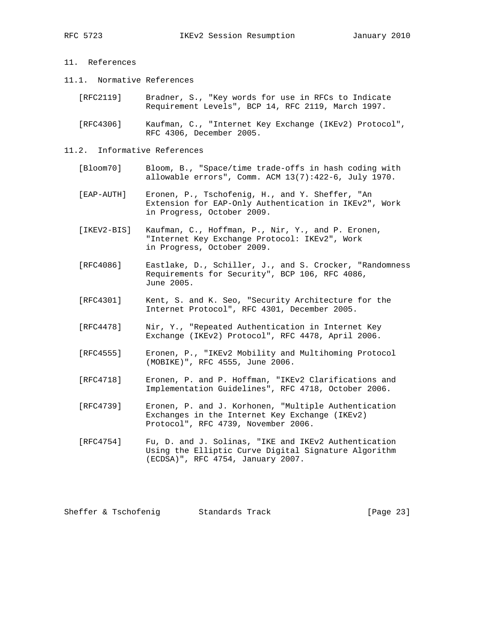## 11. References

- 11.1. Normative References
	- [RFC2119] Bradner, S., "Key words for use in RFCs to Indicate Requirement Levels", BCP 14, RFC 2119, March 1997.

 [RFC4306] Kaufman, C., "Internet Key Exchange (IKEv2) Protocol", RFC 4306, December 2005.

#### 11.2. Informative References

- [Bloom70] Bloom, B., "Space/time trade-offs in hash coding with allowable errors", Comm. ACM 13(7):422-6, July 1970.
- [EAP-AUTH] Eronen, P., Tschofenig, H., and Y. Sheffer, "An Extension for EAP-Only Authentication in IKEv2", Work in Progress, October 2009.
- [IKEV2-BIS] Kaufman, C., Hoffman, P., Nir, Y., and P. Eronen, "Internet Key Exchange Protocol: IKEv2", Work in Progress, October 2009.
- [RFC4086] Eastlake, D., Schiller, J., and S. Crocker, "Randomness Requirements for Security", BCP 106, RFC 4086, June 2005.
- [RFC4301] Kent, S. and K. Seo, "Security Architecture for the Internet Protocol", RFC 4301, December 2005.
- [RFC4478] Nir, Y., "Repeated Authentication in Internet Key Exchange (IKEv2) Protocol", RFC 4478, April 2006.
- [RFC4555] Eronen, P., "IKEv2 Mobility and Multihoming Protocol (MOBIKE)", RFC 4555, June 2006.
- [RFC4718] Eronen, P. and P. Hoffman, "IKEv2 Clarifications and Implementation Guidelines", RFC 4718, October 2006.
- [RFC4739] Eronen, P. and J. Korhonen, "Multiple Authentication Exchanges in the Internet Key Exchange (IKEv2) Protocol", RFC 4739, November 2006.
- [RFC4754] Fu, D. and J. Solinas, "IKE and IKEv2 Authentication Using the Elliptic Curve Digital Signature Algorithm (ECDSA)", RFC 4754, January 2007.

Sheffer & Tschofenig Standards Track [Page 23]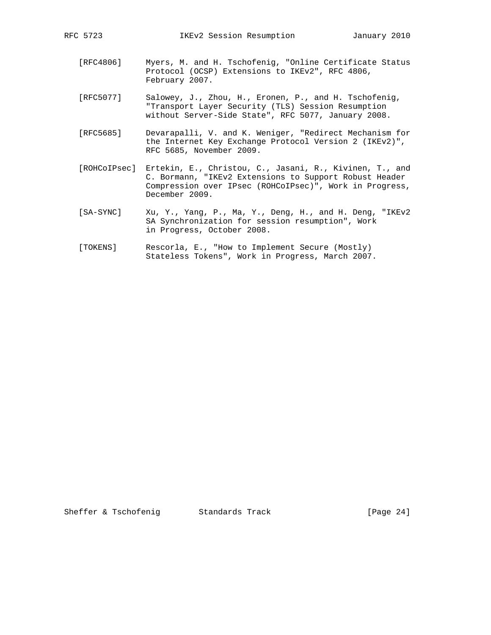- [RFC4806] Myers, M. and H. Tschofenig, "Online Certificate Status Protocol (OCSP) Extensions to IKEv2", RFC 4806, February 2007.
- [RFC5077] Salowey, J., Zhou, H., Eronen, P., and H. Tschofenig, "Transport Layer Security (TLS) Session Resumption without Server-Side State", RFC 5077, January 2008.
- [RFC5685] Devarapalli, V. and K. Weniger, "Redirect Mechanism for the Internet Key Exchange Protocol Version 2 (IKEv2)", RFC 5685, November 2009.
- [ROHCoIPsec] Ertekin, E., Christou, C., Jasani, R., Kivinen, T., and C. Bormann, "IKEv2 Extensions to Support Robust Header Compression over IPsec (ROHCoIPsec)", Work in Progress, December 2009.
- [SA-SYNC] Xu, Y., Yang, P., Ma, Y., Deng, H., and H. Deng, "IKEv2 SA Synchronization for session resumption", Work in Progress, October 2008.
- [TOKENS] Rescorla, E., "How to Implement Secure (Mostly) Stateless Tokens", Work in Progress, March 2007.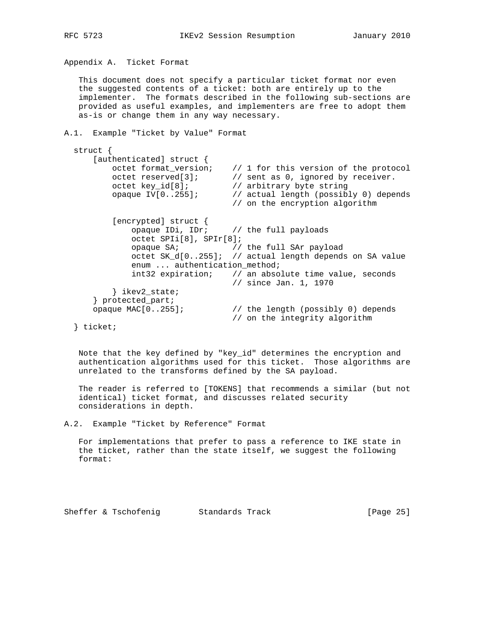Appendix A. Ticket Format

 This document does not specify a particular ticket format nor even the suggested contents of a ticket: both are entirely up to the implementer. The formats described in the following sub-sections are provided as useful examples, and implementers are free to adopt them as-is or change them in any way necessary.

```
A.1. Example "Ticket by Value" Format
```

| struct                       |                                                                      |
|------------------------------|----------------------------------------------------------------------|
| [authenticated] struct $\{$  |                                                                      |
|                              | octet format version; $\frac{1}{1}$ for this version of the protocol |
| octet reserved[3];           | // sent as 0, ignored by receiver.                                   |
| $octet$ key $id[8]$ ;        | // arbitrary byte string                                             |
| opaque IV $[0255]$ ;         | // actual length (possibly 0) depends                                |
|                              | // on the encryption algorithm                                       |
|                              |                                                                      |
| [encrypted] struct {         |                                                                      |
|                              | opaque IDi, IDr; $\frac{1}{\sqrt{2}}$ the full payloads              |
| $octet$ SPIi[8], SPIr[8];    |                                                                      |
|                              | opaque $SA$ ; $\frac{1}{1}$ the full $SAr$ payload                   |
|                              | octet SK_d[0255]; // actual length depends on SA value               |
| enum  authentication_method; |                                                                      |
|                              | int32 expiration; // an absolute time value, seconds                 |
|                              | // since Jan. 1, 1970                                                |
| ikev2 state;                 |                                                                      |
| } protected_part;            |                                                                      |
| opaque MAC $[0255]$ ;        | // the length (possibly 0) depends                                   |
|                              | // on the integrity algorithm                                        |
| $1 + 2 + 1 + 1 + 1$          |                                                                      |

} ticket;

 Note that the key defined by "key\_id" determines the encryption and authentication algorithms used for this ticket. Those algorithms are unrelated to the transforms defined by the SA payload.

 The reader is referred to [TOKENS] that recommends a similar (but not identical) ticket format, and discusses related security considerations in depth.

A.2. Example "Ticket by Reference" Format

 For implementations that prefer to pass a reference to IKE state in the ticket, rather than the state itself, we suggest the following format:

Sheffer & Tschofenig Standards Track [Page 25]